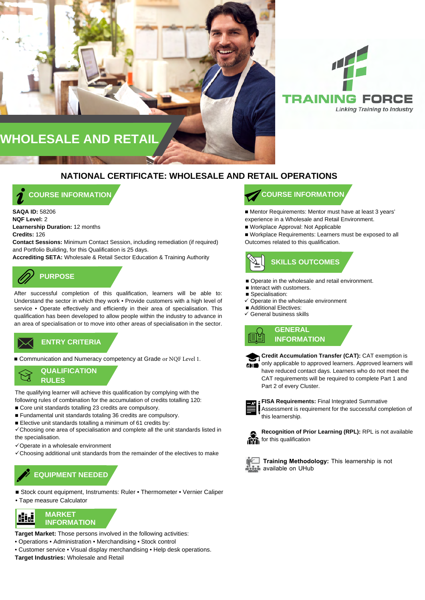



### **NATIONAL CERTIFICATE: WHOLESALE AND RETAIL OPERATIONS**

**COURSE INFORMATION**

**SAQA ID:** 58206 **NQF Level:** 2 **Learnership Duration:** 12 months **Credits:** 126 **Contact Sessions:** Minimum Contact Session, including remediation (if required)

and Portfolio Building, for this Qualification is 25 days. **Accrediting SETA:** Wholesale & Retail Sector Education & Training Authority

# **PURPOSE**

After successful completion of this qualification, learners will be able to: Understand the sector in which they work • Provide customers with a high level of service • Operate effectively and efficiently in their area of specialisation. This qualification has been developed to allow people within the industry to advance in an area of specialisation or to move into other areas of specialisation in the sector.

**ENTRY CRITERIA ENTRY CRITERIA**

■ Communication and Numeracy competency at Grade or NQF Level 1.



The qualifying learner will achieve this qualification by complying with the following rules of combination for the accumulation of credits totalling 120:

- Core unit standards totalling 23 credits are compulsory.
- Fundamental unit standards totaling 36 credits are compulsory.
- Elective unit standards totalling a minimum of 61 credits by:

Choosing one area of specialisation and complete all the unit standards listed in the specialisation.

- $\checkmark$  Operate in a wholesale environment
- $\checkmark$  Choosing additional unit standards from the remainder of the electives to make

### **EQUIPMENT NEEDED**

- Stock count equipment, Instruments: Ruler Thermometer Vernier Caliper • Tape measure Calculator
- 



**Target Market:** Those persons involved in the following activities:

- Operations Administration Merchandising Stock control
- Customer service Visual display merchandising Help desk operations.
- **Target Industries:** Wholesale and Retail

### **COURSE INFORMATION**

■ Mentor Requirements: Mentor must have at least 3 years' experience in a Wholesale and Retail Environment.

■ Workplace Approval: Not Applicable

■ Workplace Requirements: Learners must be exposed to all Outcomes related to this qualification.



- Operate in the wholesale and retail environment.
- Interact with customers.
- Specialisation:
- $\checkmark$  Operate in the wholesale environment
- Additional Electives:
- $\checkmark$  General business skills





**Credit Accumulation Transfer (CAT):** CAT exemption is only applicable to approved learners. Approved learners will have reduced contact days. Learners who do not meet the CAT requirements will be required to complete Part 1 and Part 2 of every Cluster.



**FISA Requirements:** Final Integrated Summative Assessment is requirement for the successful completion of this learnership.

![](_page_0_Picture_42.jpeg)

**Recognition of Prior Learning (RPL):** RPL is not available for this qualification

![](_page_0_Picture_44.jpeg)

**Training Methodology:** This learnership is not **available on UHub**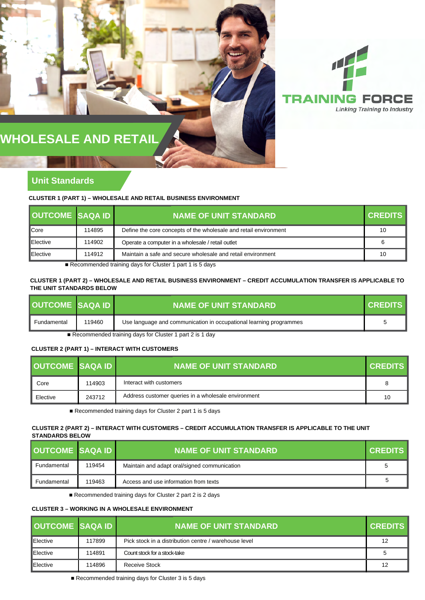![](_page_1_Picture_0.jpeg)

## **WHOLESALE AND RETAIL**

### **Unit Standards**

**CLUSTER 1 (PART 1) – WHOLESALE AND RETAIL BUSINESS ENVIRONMENT**

| <b>OUTCOME SAQA ID</b> |        | <b>NAME OF UNIT STANDARD</b>                                     | <b>CREDITS</b> |
|------------------------|--------|------------------------------------------------------------------|----------------|
| <b>Core</b>            | 114895 | Define the core concepts of the wholesale and retail environment | 10             |
| <b>IElective</b>       | 114902 | Operate a computer in a wholesale / retail outlet                |                |
| <b>IElective</b>       | 114912 | Maintain a safe and secure wholesale and retail environment      | 10             |

■ Recommended training days for Cluster 1 part 1 is 5 days

**CLUSTER 1 (PART 2) – WHOLESALE AND RETAIL BUSINESS ENVIRONMENT – CREDIT ACCUMULATION TRANSFER IS APPLICABLE TO THE UNIT STANDARDS BELOW**

| <b>OUTCOME SAQA ID</b>                                    |        | <b>NAME OF UNIT STANDARD</b>                                       | <b>CREDITS</b> |
|-----------------------------------------------------------|--------|--------------------------------------------------------------------|----------------|
| Fundamental                                               | 119460 | Use language and communication in occupational learning programmes |                |
| ■ Pecommended training days for Cluster 1 part 2 is 1 day |        |                                                                    |                |

 $\overline{R}$  Recommended training days for Cluster 1 part 2 is 1 day

#### **CLUSTER 2 (PART 1) – INTERACT WITH CUSTOMERS**

| <b>OUTCOME SAOA ID</b> |        | <b>NAME OF UNIT STANDARD</b>                        | <b>CREDITS</b> |
|------------------------|--------|-----------------------------------------------------|----------------|
| Core                   | 114903 | Interact with customers                             | 8              |
| Elective               | 243712 | Address customer queries in a wholesale environment | 10             |

■ Recommended training days for Cluster 2 part 1 is 5 days

#### **CLUSTER 2 (PART 2) – INTERACT WITH CUSTOMERS – CREDIT ACCUMULATION TRANSFER IS APPLICABLE TO THE UNIT STANDARDS BELOW**

| <b>OUTCOME SAQA ID</b> |        | <b>NAME OF UNIT STANDARD</b>                 | <b>I CREDITS I</b> |
|------------------------|--------|----------------------------------------------|--------------------|
| Fundamental            | 119454 | Maintain and adapt oral/signed communication |                    |
| Fundamental            | 119463 | Access and use information from texts        |                    |

■ Recommended training days for Cluster 2 part 2 is 2 days

#### **CLUSTER 3 – WORKING IN A WHOLESALE ENVIRONMENT**

| <b>OUTCOME SAQA ID</b> |        | <b>I NAME OF UNIT STANDARD'</b>                       | <b>CREDITS</b> |
|------------------------|--------|-------------------------------------------------------|----------------|
| Elective               | 117899 | Pick stock in a distribution centre / warehouse level | 12             |
| Elective               | 114891 | Count stock for a stock-take                          | 5              |
| <b>IElective</b>       | 114896 | Receive Stock                                         | 12             |

■ Recommended training days for Cluster 3 is 5 days